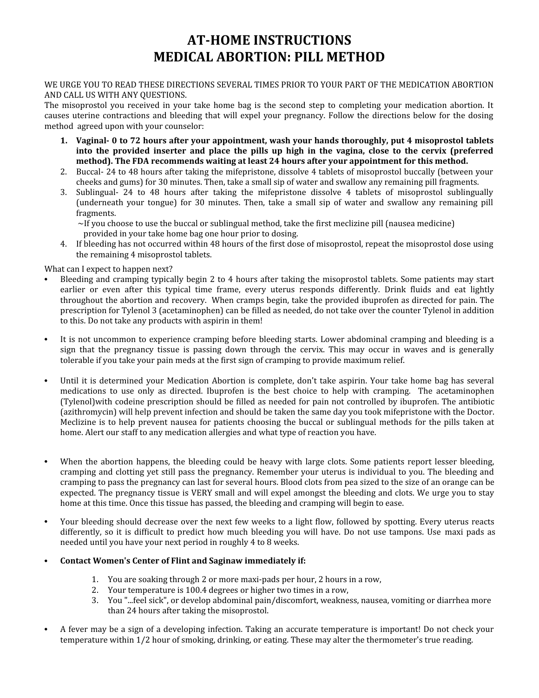## **AT-HOME INSTRUCTIONS MEDICAL ABORTION: PILL METHOD**

## WE URGE YOU TO READ THESE DIRECTIONS SEVERAL TIMES PRIOR TO YOUR PART OF THE MEDICATION ABORTION AND CALL US WITH ANY QUESTIONS.

The misoprostol you received in your take home bag is the second step to completing your medication abortion. It causes uterine contractions and bleeding that will expel your pregnancy. Follow the directions below for the dosing method agreed upon with your counselor:

- **1. Vaginal- 0 to 72 hours after your appointment, wash your hands thoroughly, put 4 misoprostol tablets into the provided inserter and place the pills up high in the vagina, close to the cervix (preferred method). The FDA recommends waiting at least 24 hours after your appointment for this method.**
- 2. Buccal- 24 to 48 hours after taking the mifepristone, dissolve 4 tablets of misoprostol buccally (between your cheeks and gums) for 30 minutes. Then, take a small sip of water and swallow any remaining pill fragments.
- 3. Sublingual- 24 to 48 hours after taking the mifepristone dissolve 4 tablets of misoprostol sublingually (underneath your tongue) for 30 minutes. Then, take a small sip of water and swallow any remaining pill fragments.

 $\sim$ If you choose to use the buccal or sublingual method, take the first meclizine pill (nausea medicine)

provided in your take home bag one hour prior to dosing.

4. If bleeding has not occurred within 48 hours of the first dose of misoprostol, repeat the misoprostol dose using the remaining 4 misoprostol tablets.

What can I expect to happen next?

- Bleeding and cramping typically begin 2 to 4 hours after taking the misoprostol tablets. Some patients may start earlier or even after this typical time frame, every uterus responds differently. Drink fluids and eat lightly throughout the abortion and recovery. When cramps begin, take the provided ibuprofen as directed for pain. The prescription for Tylenol 3 (acetaminophen) can be filled as needed, do not take over the counter Tylenol in addition to this. Do not take any products with aspirin in them!
- It is not uncommon to experience cramping before bleeding starts. Lower abdominal cramping and bleeding is a sign that the pregnancy tissue is passing down through the cervix. This may occur in waves and is generally tolerable if you take your pain meds at the first sign of cramping to provide maximum relief.
- Until it is determined your Medication Abortion is complete, don't take aspirin. Your take home bag has several medications to use only as directed. Ibuprofen is the best choice to help with cramping. The acetaminophen (Tylenol)with codeine prescription should be filled as needed for pain not controlled by ibuprofen. The antibiotic (azithromycin) will help prevent infection and should be taken the same day you took mifepristone with the Doctor. Meclizine is to help prevent nausea for patients choosing the buccal or sublingual methods for the pills taken at home. Alert our staff to any medication allergies and what type of reaction you have.
- When the abortion happens, the bleeding could be heavy with large clots. Some patients report lesser bleeding, cramping and clotting yet still pass the pregnancy. Remember your uterus is individual to you. The bleeding and cramping to pass the pregnancy can last for several hours. Blood clots from pea sized to the size of an orange can be expected. The pregnancy tissue is VERY small and will expel amongst the bleeding and clots. We urge you to stay home at this time. Once this tissue has passed, the bleeding and cramping will begin to ease.
- Your bleeding should decrease over the next few weeks to a light flow, followed by spotting. Every uterus reacts differently, so it is difficult to predict how much bleeding you will have. Do not use tampons. Use maxi pads as needed until you have your next period in roughly 4 to 8 weeks.

## • **Contact Women's Center of Flint and Saginaw immediately if:**

- 1. You are soaking through 2 or more maxi-pads per hour, 2 hours in a row,
- 2. Your temperature is 100.4 degrees or higher two times in a row,
- 3. You "...feel sick", or develop abdominal pain/discomfort, weakness, nausea, vomiting or diarrhea more than 24 hours after taking the misoprostol.
- A fever may be a sign of a developing infection. Taking an accurate temperature is important! Do not check your temperature within 1/2 hour of smoking, drinking, or eating. These may alter the thermometer's true reading.